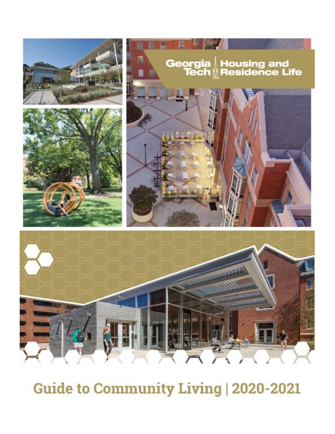

# Guide to Community Living | 2020-2021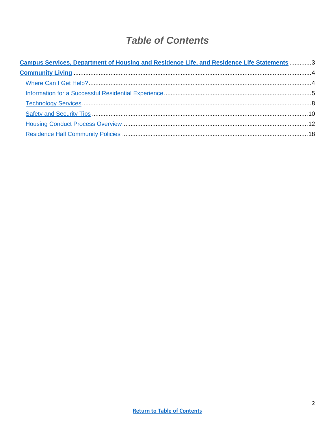## **Table of Contents**

| Campus Services, Department of Housing and Residence Life, and Residence Life Statements 3 |  |
|--------------------------------------------------------------------------------------------|--|
|                                                                                            |  |
|                                                                                            |  |
|                                                                                            |  |
|                                                                                            |  |
|                                                                                            |  |
|                                                                                            |  |
|                                                                                            |  |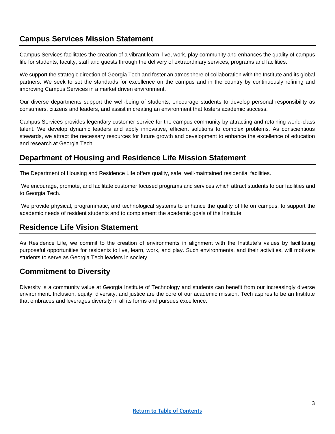## <span id="page-2-0"></span>**Campus Services Mission Statement**

Campus Services facilitates the creation of a vibrant learn, live, work, play community and enhances the quality of campus life for students, faculty, staff and guests through the delivery of extraordinary services, programs and facilities.

We support the strategic direction of Georgia Tech and foster an atmosphere of collaboration with the Institute and its global partners. We seek to set the standards for excellence on the campus and in the country by continuously refining and improving Campus Services in a market driven environment.

Our diverse departments support the well-being of students, encourage students to develop personal responsibility as consumers, citizens and leaders, and assist in creating an environment that fosters academic success.

Campus Services provides legendary customer service for the campus community by attracting and retaining world-class talent. We develop dynamic leaders and apply innovative, efficient solutions to complex problems. As conscientious stewards, we attract the necessary resources for future growth and development to enhance the excellence of education and research at Georgia Tech.

## **Department of Housing and Residence Life Mission Statement**

The Department of Housing and Residence Life offers quality, safe, well-maintained residential facilities.

We encourage, promote, and facilitate customer focused programs and services which attract students to our facilities and to Georgia Tech.

We provide physical, programmatic, and technological systems to enhance the quality of life on campus, to support the academic needs of resident students and to complement the academic goals of the Institute.

## **Residence Life Vision Statement**

As Residence Life, we commit to the creation of environments in alignment with the Institute's values by facilitating purposeful opportunities for residents to live, learn, work, and play. Such environments, and their activities, will motivate students to serve as Georgia Tech leaders in society.

## **Commitment to Diversity**

Diversity is a community value at Georgia Institute of Technology and students can benefit from our increasingly diverse environment. Inclusion, equity, diversity, and justice are the core of our academic mission. Tech aspires to be an Institute that embraces and leverages diversity in all its forms and pursues excellence.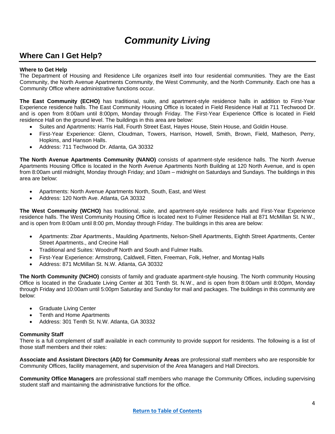## *Community Living*

## <span id="page-3-1"></span><span id="page-3-0"></span>**Where Can I Get Help?**

#### **Where to Get Help**

The Department of Housing and Residence Life organizes itself into four residential communities. They are the East Community, the North Avenue Apartments Community, the West Community, and the North Community. Each one has a Community Office where administrative functions occur.

**The East Community (ECHO)** has traditional, suite, and apartment-style residence halls in addition to First-Year Experience residence halls. The East Community Housing Office is located in Field Residence Hall at 711 Techwood Dr. and is open from 8:00am until 8:00pm, Monday through Friday. The First-Year Experience Office is located in Field residence Hall on the ground level. The buildings in this area are below:

- Suites and Apartments: Harris Hall, Fourth Street East, Hayes House, Stein House, and Goldin House.
- First-Year Experience: Glenn, Cloudman, Towers, Harrison, Howell, Smith, Brown, Field, Matheson, Perry, Hopkins, and Hanson Halls.
- Address: 711 Techwood Dr. Atlanta, GA 30332

**The North Avenue Apartments Community (NANO)** consists of apartment-style residence halls. The North Avenue Apartments Housing Office is located in the North Avenue Apartments North Building at 120 North Avenue, and is open from 8:00am until midnight, Monday through Friday; and 10am – midnight on Saturdays and Sundays. The buildings in this area are below:

- Apartments: North Avenue Apartments North, South, East, and West
- Address: 120 North Ave. Atlanta, GA 30332

**The West Community (WCHO)** has traditional, suite, and apartment-style residence halls and First-Year Experience residence halls. The West Community Housing Office is located next to Fulmer Residence Hall at 871 McMillan St. N.W., and is open from 8:00am until 8:00 pm, Monday through Friday. The buildings in this area are below:

- Apartments: Zbar Apartments., Maulding Apartments, Nelson-Shell Apartments, Eighth Street Apartments, Center Street Apartments., and Crecine Hall
- Traditional and Suites: Woodruff North and South and Fulmer Halls.
- First-Year Experience: Armstrong, Caldwell, Fitten, Freeman, Folk, Hefner, and Montag Halls
- Address: 871 McMillan St. N.W. Atlanta, GA 30332

**The North Community (NCHO)** consists of family and graduate apartment-style housing. The North community Housing Office is located in the Graduate Living Center at 301 Tenth St. N.W., and is open from 8:00am until 8:00pm, Monday through Friday and 10:00am until 5:00pm Saturday and Sunday for mail and packages. The buildings in this community are below:

- Graduate Living Center
- Tenth and Home Apartments
- Address: 301 Tenth St. N.W. Atlanta, GA 30332

#### **Community Staff**

There is a full complement of staff available in each community to provide support for residents. The following is a list of those staff members and their roles:

**Associate and Assistant Directors (AD) for Community Areas** are professional staff members who are responsible for Community Offices, facility management, and supervision of the Area Managers and Hall Directors.

**Community Office Managers** are professional staff members who manage the Community Offices, including supervising student staff and maintaining the administrative functions for the office.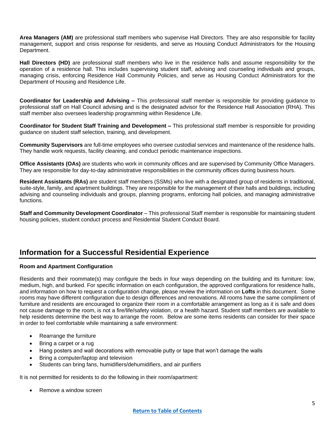**Area Managers (AM)** are professional staff members who supervise Hall Directors. They are also responsible for facility management, support and crisis response for residents, and serve as Housing Conduct Administrators for the Housing Department.

**Hall Directors (HD)** are professional staff members who live in the residence halls and assume responsibility for the operation of a residence hall. This includes supervising student staff, advising and counseling individuals and groups, managing crisis, enforcing Residence Hall Community Policies, and serve as Housing Conduct Administrators for the Department of Housing and Residence Life.

**Coordinator for Leadership and Advising –** This professional staff member is responsible for providing guidance to professional staff on Hall Council advising and is the designated advisor for the Residence Hall Association (RHA). This staff member also oversees leadership programming within Residence Life.

**Coordinator for Student Staff Training and Development –** This professional staff member is responsible for providing guidance on student staff selection, training, and development.

**Community Supervisors** are full-time employees who oversee custodial services and maintenance of the residence halls. They handle work requests, facility cleaning, and conduct periodic maintenance inspections.

**Office Assistants (OAs)** are students who work in community offices and are supervised by Community Office Managers. They are responsible for day-to-day administrative responsibilities in the community offices during business hours.

**Resident Assistants (RAs)** are student staff members (SSMs) who live with a designated group of residents in traditional, suite-style, family, and apartment buildings. They are responsible for the management of their halls and buildings, including advising and counseling individuals and groups, planning programs, enforcing hall policies, and managing administrative functions.

**Staff and Community Development Coordinator** – This professional Staff member is responsible for maintaining student housing policies, student conduct process and Residential Student Conduct Board.

## <span id="page-4-0"></span>**Information for a Successful Residential Experience**

#### **Room and Apartment Configuration**

Residents and their roommate(s) may configure the beds in four ways depending on the building and its furniture: low, medium, high, and bunked. For specific information on each configuration, the approved configurations for residence halls, and information on how to request a configuration change, please review the information on **Lofts** in this document. Some rooms may have different configuration due to design differences and renovations. All rooms have the same compliment of furniture and residents are encouraged to organize their room in a comfortable arrangement as long as it is safe and does not cause damage to the room, is not a fire/life/safety violation, or a health hazard. Student staff members are available to help residents determine the best way to arrange the room. Below are some items residents can consider for their space in order to feel comfortable while maintaining a safe environment:

- Rearrange the furniture
- Bring a carpet or a rug
- Hang posters and wall decorations with removable putty or tape that won't damage the walls
- Bring a computer/laptop and television
- Students can bring fans, humidifiers/dehumidifiers, and air purifiers

It is not permitted for residents to do the following in their room/apartment:

Remove a window screen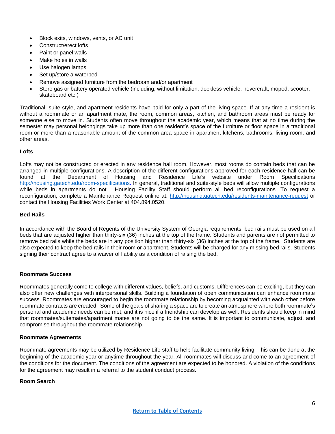- Block exits, windows, vents, or AC unit
- Construct/erect lofts
- Paint or panel walls
- Make holes in walls
- Use halogen lamps
- Set up/store a waterbed
- Remove assigned furniture from the bedroom and/or apartment
- Store gas or battery operated vehicle (including, without limitation, dockless vehicle, hovercraft, moped, scooter, skateboard etc.)

Traditional, suite-style, and apartment residents have paid for only a part of the living space. If at any time a resident is without a roommate or an apartment mate, the room, common areas, kitchen, and bathroom areas must be ready for someone else to move in. Students often move throughout the academic year, which means that at no time during the semester may personal belongings take up more than one resident's space of the furniture or floor space in a traditional room or more than a reasonable amount of the common area space in apartment kitchens, bathrooms, living room, and other areas.

#### **Lofts**

Lofts may not be constructed or erected in any residence hall room. However, most rooms do contain beds that can be arranged in multiple configurations. A description of the different configurations approved for each residence hall can be found at the Department of Housing and Residence Life's website under Room Specifications [http://housing.gatech.edu/room-specifications.](http://housing.gatech.edu/room-specifications) In general, traditional and suite-style beds will allow multiple configurations while beds in apartments do not. Housing Facility Staff should perform all bed reconfigurations. To request a reconfiguration, complete a Maintenance Request online at:<http://housing.gatech.edu/residents-maintenance-request> or contact the Housing Facilities Work Center at 404.894.0520.

#### **Bed Rails**

In accordance with the Board of Regents of the University System of Georgia requirements, bed rails must be used on all beds that are adjusted higher than thirty-six (36) inches at the top of the frame. Students and parents are not permitted to remove bed rails while the beds are in any position higher than thirty-six (36) inches at the top of the frame. Students are also expected to keep the bed rails in their room or apartment. Students will be charged for any missing bed rails. Students signing their contract agree to a waiver of liability as a condition of raising the bed.

#### **Roommate Success**

Roommates generally come to college with different values, beliefs, and customs. Differences can be exciting, but they can also offer new challenges with interpersonal skills. Building a foundation of open communication can enhance roommate success. Roommates are encouraged to begin the roommate relationship by becoming acquainted with each other before roommate contracts are created. Some of the goals of sharing a space are to create an atmosphere where both roommate's personal and academic needs can be met, and it is nice if a friendship can develop as well. Residents should keep in mind that roommates/suitemates/apartment mates are not going to be the same. It is important to communicate, adjust, and compromise throughout the roommate relationship.

#### **Roommate Agreements**

Roommate agreements may be utilized by Residence Life staff to help facilitate community living. This can be done at the beginning of the academic year or anytime throughout the year. All roommates will discuss and come to an agreement of the conditions for the document. The conditions of the agreement are expected to be honored. A violation of the conditions for the agreement may result in a referral to the student conduct process.

#### **Room Search**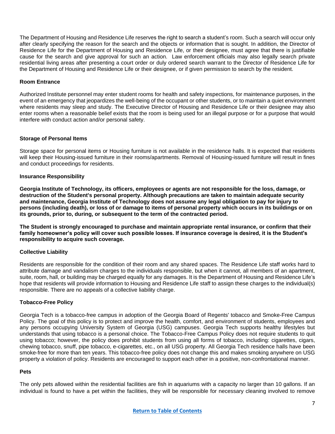The Department of Housing and Residence Life reserves the right to search a student's room. Such a search will occur only after clearly specifying the reason for the search and the objects or information that is sought. In addition, the Director of Residence Life for the Department of Housing and Residence Life, or their designee, must agree that there is justifiable cause for the search and give approval for such an action. Law enforcement officials may also legally search private residential living areas after presenting a court order or duly ordered search warrant to the Director of Residence Life for the Department of Housing and Residence Life or their designee, or if given permission to search by the resident.

#### **Room Entrance**

Authorized Institute personnel may enter student rooms for health and safety inspections, for maintenance purposes, in the event of an emergency that jeopardizes the well-being of the occupant or other students, or to maintain a quiet environment where residents may sleep and study. The Executive Director of Housing and Residence Life or their designee may also enter rooms when a reasonable belief exists that the room is being used for an illegal purpose or for a purpose that would interfere with conduct action and/or personal safety.

#### **Storage of Personal Items**

Storage space for personal items or Housing furniture is not available in the residence halls. It is expected that residents will keep their Housing-issued furniture in their rooms/apartments. Removal of Housing-issued furniture will result in fines and conduct proceedings for residents.

#### **Insurance Responsibility**

**Georgia Institute of Technology, its officers, employees or agents are not responsible for the loss, damage, or destruction of the Student's personal property. Although precautions are taken to maintain adequate security and maintenance, Georgia Institute of Technology does not assume any legal obligation to pay for injury to persons (including death), or loss of or damage to items of personal property which occurs in its buildings or on its grounds, prior to, during, or subsequent to the term of the contracted period.**

**The Student is strongly encouraged to purchase and maintain appropriate rental insurance, or confirm that their family homeowner's policy will cover such possible losses. If insurance coverage is desired, it is the Student's responsibility to acquire such coverage.**

#### **Collective Liability**

Residents are responsible for the condition of their room and any shared spaces. The Residence Life staff works hard to attribute damage and vandalism charges to the individuals responsible, but when it cannot, all members of an apartment, suite, room, hall, or building may be charged equally for any damages. It is the Department of Housing and Residence Life's hope that residents will provide information to Housing and Residence Life staff to assign these charges to the individual(s) responsible. There are no appeals of a collective liability charge.

#### **Tobacco-Free Policy**

Georgia Tech is a tobacco-free campus in adoption of the Georgia Board of Regents' tobacco and Smoke-Free Campus Policy. The goal of this policy is to protect and improve the health, comfort, and environment of students, employees and any persons occupying University System of Georgia (USG) campuses. Georgia Tech supports healthy lifestyles but understands that using tobacco is a personal choice. The Tobacco-Free Campus Policy does not require students to quit using tobacco; however, the policy does prohibit students from using all forms of tobacco, including: cigarettes, cigars, chewing tobacco, snuff, pipe tobacco, e-cigarettes, etc., on all USG property. All Georgia Tech residence halls have been smoke-free for more than ten years. This tobacco-free policy does not change this and makes smoking anywhere on USG property a violation of policy. Residents are encouraged to support each other in a positive, non-confrontational manner.

#### **Pets**

The only pets allowed within the residential facilities are fish in aquariums with a capacity no larger than 10 gallons. If an individual is found to have a pet within the facilities, they will be responsible for necessary cleaning involved to remove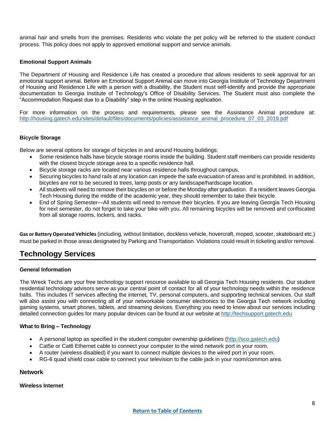animal hair and smells from the premises. Residents who violate the pet policy will be referred to the student conduct process. This policy does not apply to approved emotional support and service animals.

#### **Emotional Support Animals**

The Department of Housing and Residence Life has created a procedure that allows residents to seek approval for an emotional support animal. Before an Emotional Support Animal can move into Georgia Institute of Technology Department of Housing and Residence Life with a person with a disability, the Student must self-identify and provide the appropriate documentation to Georgia Institute of Technology's Office of Disability Services. The Student must also complete the "Accommodation Request due to a Disability" step in the online Housing application.

For more information on the process and requirements, please see the Assistance Animal procedure at: [http://housing.gatech.edu/sites/default/files/documents/policies/assistance\\_animal\\_procedure\\_07\\_03\\_2019.pdf](http://housing.gatech.edu/sites/default/files/documents/policies/assistance_animal_procedure_07_03_2019.pdf)

#### **Bicycle Storage**

Below are several options for storage of bicycles in and around Housing buildings:

- Some residence halls have bicycle storage rooms inside the building. Student staff members can provide residents with the closest bicycle storage area to a specific residence hall.
- Bicycle storage racks are located near various residence halls throughout campus.
- Securing bicycles to hand rails at any location can impede the safe evacuation of areas and is prohibited. In addition, bicycles are not to be secured to trees, lamp posts or any landscape/hardscape location.
- All students will need to remove their bicycles on or before the Monday after graduation. If a resident leaves Georgia Tech Housing during the middle of the academic year, they should remember to take their bicycle.
- End of Spring Semester—All students will need to remove their bicycles. If you are leaving Georgia Tech Housing for next semester, do not forget to take your bike with you. All remaining bicycles will be removed and confiscated from all storage rooms, lockers, and racks.

**Gas or Battery Operated Vehicles** (including, without limitation, dockless vehicle, hovercraft, moped, scooter, skateboard etc.) must be parked in those areas designated by Parking and Transportation. Violations could result in ticketing and/or removal.

## <span id="page-7-0"></span>**Technology Services**

#### **General Information**

The Wreck Techs are your free technology support resource available to all Georgia Tech Housing residents. Our student residential technology advisors serve as your central point of contact for all of your technology needs within the residence halls. This includes IT services affecting the internet, TV, personal computers, and supporting technical services. Our staff will also assist you with connecting all of your networkable consumer electronics to the Georgia Tech network including gaming systems, smart phones, tablets, and streaming devices. Everything you need to know about our services including detailed connection guides for many popular devices can be found at our website at [http://techsupport.gatech.edu](http://techsupport.gatech.edu/)

#### **What to Bring – Technology**

- A personal laptop as specified in the student computer ownership guidelines [\(http://sco.gatech.edu\)](http://sco.gatech.edu/)
- Cat5e or Cat6 Ethernet cable to connect your computer to the wired network port in your room.
- A router (wireless disabled) if you want to connect multiple devices to the wired port in your room.
- RG-6 quad shield coax cable to connect your television to the cable jack in your room/common area.

#### **Network**

#### **Wireless Internet**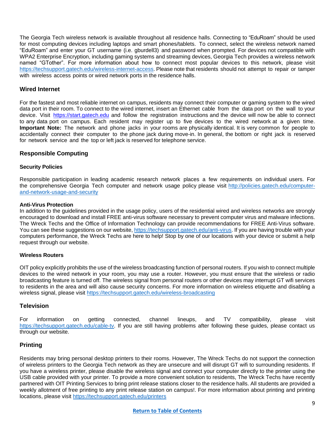The Georgia Tech wireless network is available throughout all residence halls. Connecting to "EduRoam" should be used for most computing devices including laptops and smart phones/tablets. To connect, select the wireless network named "EduRoam" and enter your GT username (i.e. gburdell3) and password when prompted. For devices not compatible with WPA2 Enterprise Encryption, including gaming systems and streaming devices, Georgia Tech provides a wireless network named "GTother". For more information about how to connect most popular devices to this network, please visit [https://techsupport.gatech.edu/wireless-internet-access.](https://techsupport.gatech.edu/wireless-internet-access) Please note that residents should not attempt to repair or tamper with wireless access points or wired network ports in the residence halls.

#### **Wired Internet**

For the fastest and most reliable internet on campus, residents may connect their computer or gaming system to the wired data port in their room. To connect to the wired internet, insert an Ethernet cable from the data port on the wall to your device. Visit [https://start.gatech.edu](https://start.gatech.edu/) and follow the registration instructions and the device will now be able to connect to any data port on campus. Each resident may register up to five devices to the wired network at a given time. **Important Note:** The network and phone jacks in your rooms are physically identical. It is very common for people to accidentally connect their computer to the phone jack during move-in. In general, the bottom or right jack is reserved for network service and the top or left jack is reserved for telephone service.

#### **Responsible Computing**

#### **Security Policies**

Responsible participation in leading academic research network places a few requirements on individual users. For the comprehensive Georgia Tech computer and network usage policy please visit [http://policies.gatech.edu/computer](http://policies.gatech.edu/computer-and-network-usage-and-security)[and-network-usage-and-security](http://policies.gatech.edu/computer-and-network-usage-and-security)

#### **Anti-Virus Protection**

In addition to the guidelines provided in the usage policy, users of the residential wired and wireless networks are strongly encouraged to download and install FREE anti-virus software necessary to prevent computer virus and malware infections. The Wreck Techs and the Office of Information Technology can provide recommendations for FREE Anti-Virus software. You can see these suggestions on our website, [https://techsupport.gatech.edu/anti-virus.](https://techsupport.gatech.edu/anti-virus) If you are having trouble with your computers performance, the Wreck Techs are here to help! Stop by one of our locations with your device or submit a help request through our website.

#### **Wireless Routers**

OIT policy explicitly prohibits the use of the wireless broadcasting function of personal routers. If you wish to connect multiple devices to the wired network in your room, you may use a router. However, you must ensure that the wireless or radio broadcasting feature is turned off. The wireless signal from personal routers or other devices may interrupt GT wifi services to residents in the area and will also cause security concerns. For more information on wireless etiquette and disabling a wireless signal, please visit<https://techsupport.gatech.edu/wireless-broadcasting>

#### **Television**

For information on getting connected, channel lineups, and TV compatibility, please visit [https://techsupport.gatech.edu/cable-tv.](https://techsupport.gatech.edu/cable-tv) If you are still having problems after following these guides, please contact us through our website.

#### **Printing**

Residents may bring personal desktop printers to their rooms. However, The Wreck Techs do not support the connection of wireless printers to the Georgia Tech network as they are unsecure and will disrupt GT wifi to surrounding residents. If you have a wireless printer, please disable the wireless signal and connect your computer directly to the printer using the USB cable provided with your printer. To provide a more convenient solution to residents, The Wreck Techs have recently partnered with OIT Printing Services to bring print release stations closer to the residence halls. All students are provided a weekly allotment of free printing to any print release station on campus!. For more information about printing and printing locations, please visit<https://techsupport.gatech.edu/printers>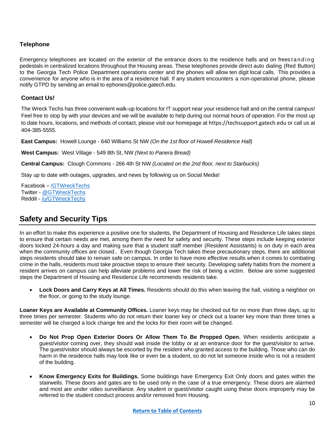#### **Telephone**

Emergency telephones are located on the exterior of the entrance doors to the residence halls and on freest and in g pedestals in centralized locations throughout the Housing areas. These telephones provide direct auto dialing (Red Button) to the Georgia Tech Police Department operations center and the phones will allow ten digit local calls. This provides a convenience for anyone who is in the area of a residence hall. If any student encounters a non-operational phone, please notify GTPD by sending an email to ephones@police.gatech.edu.

#### **Contact Us!**

The Wreck Techs has three convenient walk-up locations for IT support near your residence hall and on the central campus! Feel free to stop by with your devices and we will be available to help during our normal hours of operation. For the most up to date hours, locations, and methods of contact, please visit our homepage at https://techsupport.gatech.edu or call us at 404-385-5555.

**East Campus:** Howell Lounge - 640 Williams St NW *(On the 1st floor of Howell Residence Hall)*

**West Campus:** West Village - 549 8th St, NW *(Next to Panera Bread)*

**Central Campus:** Clough Commons - 266 4th St NW *(Located on the 2nd floor, next to Starbucks)*

Stay up to date with outages, upgrades, and news by following us on Social Media!

Facebook – [/GTWreckTechs](https://www.facebook.com/GTWreckTechs?_rdr=p) Twitter - [@GTWreckTechs](https://twitter.com/GTWreckTechs) Reddit - [/u/GTWreckTechs](https://www.reddit.com/user/GTWreckTechs)

## <span id="page-9-0"></span>**Safety and Security Tips**

In an effort to make this experience a positive one for students, the Department of Housing and Residence Life takes steps to ensure that certain needs are met, among them the need for safety and security. These steps include keeping exterior doors locked 24-hours a day and making sure that a student staff member (Resident Assistants) is on duty in each area when the community offices are closed.. Even though Georgia Tech takes these precautionary steps, there are additional steps residents should take to remain safe on campus. In order to have more effective results when it comes to combating crime in the halls, residents must take proactive steps to ensure their security. Developing safety habits from the moment a resident arrives on campus can help alleviate problems and lower the risk of being a victim. Below are some suggested steps the Department of Housing and Residence Life recommends residents take.

• **Lock Doors and Carry Keys at All Times.** Residents should do this when leaving the hall, visiting a neighbor on the floor, or going to the study lounge.

**Loaner Keys are Available at Community Offices.** Loaner keys may be checked out for no more than three days, up to three times per semester. Students who do not return their loaner key or check out a loaner key more than three times a semester will be charged a lock change fee and the locks for their room will be changed.

- **Do Not Prop Open Exterior Doors Or Allow Them To Be Propped Open.** When residents anticipate a guest/visitor coming over, they should wait inside the lobby or at an entrance door for the guest/visitor to arrive. The guest/visitor should always be escorted by the resident who granted access to the building. Those who can do harm in the residence halls may look like or even be a student, so do not let someone inside who is not a resident of the building.
- **Know Emergency Exits for Buildings.** Some buildings have Emergency Exit Only doors and gates within the stairwells. These doors and gates are to be used only in the case of a true emergency. These doors are alarmed and most are under video surveillance. Any student or guest/visitor caught using these doors improperly may be referred to the student conduct process and/or removed from Housing.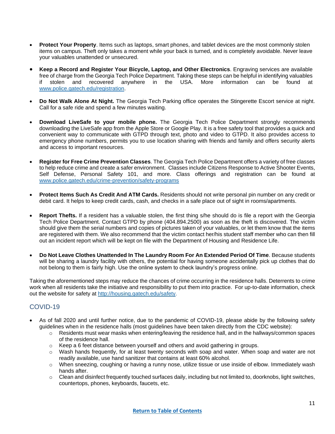- **Protect Your Property**. Items such as laptops, smart phones, and tablet devices are the most commonly stolen items on campus. Theft only takes a moment while your back is turned, and is completely avoidable. Never leave your valuables unattended or unsecured.
- **Keep a Record and Register Your Bicycle, Laptop, and Other Electronics**. Engraving services are available free of charge from the Georgia Tech Police Department. Taking these steps can be helpful in identifying valuables if stolen and recovered anywhere in the USA. More information can be found at [www.police.gatech.edu/registration.](http://www.police.gatech.edu/registration)
- **Do Not Walk Alone At Night.** The Georgia Tech Parking office operates the Stingerette Escort service at night. Call for a safe ride and spend a few minutes waiting.
- **Download LiveSafe to your mobile phone.** The Georgia Tech Police Department strongly recommends downloading the LiveSafe app from the Apple Store or Google Play. It is a free safety tool that provides a quick and convenient way to communicate with GTPD through text, photo and video to GTPD. It also provides access to emergency phone numbers, permits you to use location sharing with friends and family and offers security alerts and access to important resources.
- **Register for Free Crime Prevention Classes**. The Georgia Tech Police Department offers a variety of free classes to help reduce crime and create a safer environment. Classes include Citizens Response to Active Shooter Events, Self Defense, Personal Safety 101, and more. Class offerings and registration can be found at [www.police.gatech.edu/crime-prevention/safety-programs](http://www.police.gatech.edu/crime-prevention/safety-programs)
- **Protect Items Such As Credit And ATM Cards.** Residents should not write personal pin number on any credit or debit card. It helps to keep credit cards, cash, and checks in a safe place out of sight in rooms/apartments.
- **Report Thefts.** If a resident has a valuable stolen, the first thing s/he should do is file a report with the Georgia Tech Police Department. Contact GTPD by phone (404.894.2500) as soon as the theft is discovered. The victim should give them the serial numbers and copies of pictures taken of your valuables, or let them know that the items are registered with them. We also recommend that the victim contact her/his student staff member who can then fill out an incident report which will be kept on file with the Department of Housing and Residence Life.
- **Do Not Leave Clothes Unattended In The Laundry Room For An Extended Period Of Time**. Because students will be sharing a laundry facility with others, the potential for having someone accidentally pick up clothes that do not belong to them is fairly high. Use the online system to check laundry's progress online.

Taking the aforementioned steps may reduce the chances of crime occurring in the residence halls. Deterrents to crime work when all residents take the initiative and responsibility to put them into practice. For up-to-date information, check out the website for safety at [http://housing.gatech.edu/safety.](http://housing.gatech.edu/safety)

### COVID-19

- As of fall 2020 and until further notice, due to the pandemic of COVID-19, please abide by the following safety guidelines when in the residence halls (most guidelines have been taken directly from the CDC website):
	- $\circ$  Residents must wear masks when entering/leaving the residence hall, and in the hallways/common spaces of the residence hall.
	- $\circ$  Keep a 6 feet distance between yourself and others and avoid gathering in groups.
	- $\circ$  Wash hands frequently, for at least twenty seconds with soap and water. When soap and water are not readily available, use hand sanitizer that contains at least 60% alcohol.
	- o When sneezing, coughing or having a runny nose, utilize tissue or use inside of elbow. Immediately wash hands after.
	- o Clean and disinfect frequently touched surfaces daily, including but not limited to, doorknobs, light switches, countertops, phones, keyboards, faucets, etc.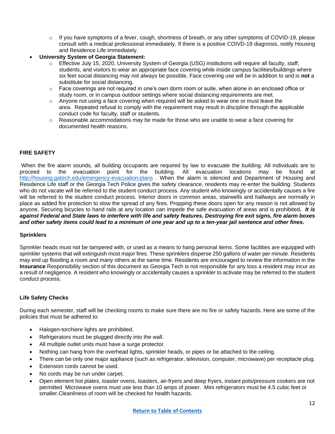- o If you have symptoms of a fever, cough, shortness of breath, or any other symptoms of COVID-19, please consult with a medical professional immediately. If there is a positive COIVD-19 diagnosis, notify Housing and Residence Life immediately.
- **University System of Georgia Statement:**
	- o Effective July 15, 2020, University System of Georgia (USG) institutions will require all faculty, staff, students, and visitors to wear an appropriate face covering while inside campus facilities/buildings where six feet social distancing may not always be possible. Face covering use will be in addition to and is **not** a substitute for social distancing.
	- $\circ$  Face coverings are not required in one's own dorm room or suite, when alone in an enclosed office or study room, or in campus outdoor settings where social distancing requirements are met.
	- $\circ$  Anyone not using a face covering when required will be asked to wear one or must leave the area. Repeated refusal to comply with the requirement may result in discipline through the applicable conduct code for faculty, staff or students.
	- $\circ$  Reasonable accommodations may be made for those who are unable to wear a face covering for documented health reasons.

#### **FIRE SAFETY**

When the fire alarm sounds, all building occupants are required by law to evacuate the building. All individuals are to proceed to the evacuation point for the building. All evacuation locations may be found at <http://housing.gatech.edu/emergency-evacuation-plans> . When the alarm is silenced and Department of Housing and Residence Life staff or the Georgia Tech Police gives the safety clearance, residents may re-enter the building. Students who do not vacate will be referred to the student conduct process. Any student who knowingly or accidentally causes a fire will be referred to the student conduct process. Interior doors in common areas, stairwells and hallways are normally in place as added fire protection to slow the spread of any fires. Propping these doors open for any reason is not allowed by anyone. Securing bicycles to hand rails at any location can impede the safe evacuation of areas and is prohibited*. It is against Federal and State laws to interfere with life and safety features. Destroying fire exit signs, fire alarm boxes and other safety items could lead to a minimum of one year and up to a ten-year jail sentence and other fines.* 

#### **Sprinklers**

Sprinkler heads must not be tampered with, or used as a means to hang personal items. Some facilities are equipped with sprinkler systems that will extinguish most major fires. These sprinklers disperse 250 gallons of water per minute. Residents may end up flooding a room and many others at the same time. Residents are encouraged to review the information in the **Insurance** Responsibility section of this document as Georgia Tech is not responsible for any loss a resident may incur as a result of negligence. A resident who knowingly or accidentally causes a sprinkler to activate may be referred to the student conduct process.

#### **Life Safety Checks**

During each semester, staff will be checking rooms to make sure there are no fire or safety hazards. Here are some of the policies that must be adhered to:

- Halogen-torchiere lights are prohibited.
- Refrigerators must be plugged directly into the wall.
- All multiple outlet units must have a surge protector.
- Nothing can hang from the overhead lights, sprinkler heads, or pipes or be attached to the ceiling.
- There can be only one major appliance (such as refrigerator, television, computer, microwave) per receptacle plug.
- Extension cords cannot be used.
- No cords may be run under carpet.
- Open element hot plates, toaster ovens, toasters, air-fryers and deep fryers, instant pots/pressure cookers are not permitted Microwave ovens must use less than 10 amps of power. Mini refrigerators must be 4.5 cubic feet or smaller.Cleanliness of room will be checked for health hazards.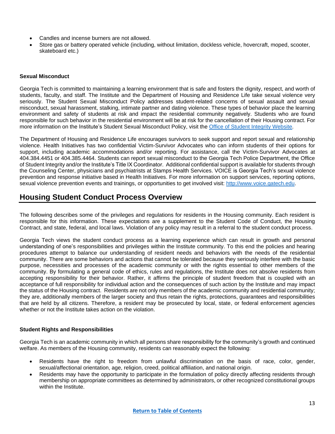- Candles and incense burners are not allowed.
- Store gas or battery operated vehicle (including, without limitation, dockless vehicle, hovercraft, moped, scooter, skateboard etc.)

#### **Sexual Misconduct**

Georgia Tech is committed to maintaining a learning environment that is safe and fosters the dignity, respect, and worth of students, faculty, and staff. The Institute and the Department of Housing and Residence Life take sexual violence very seriously. The Student Sexual Misconduct Policy addresses student-related concerns of sexual assault and sexual misconduct, sexual harassment, stalking, intimate partner and dating violence. These types of behavior place the learning environment and safety of students at risk and impact the residential community negatively. Students who are found responsible for such behavior in the residential environment will be at risk for the cancellation of their Housing contract. For more information on the Institute's Student Sexual Misconduct Policy, visit the [Office of Student Integrity Website.](http://osi.gatech.edu/)

The Department of Housing and Residence Life encourages survivors to seek support and report sexual and relationship violence. Health Initiatives has two confidential Victim-Survivor Advocates who can inform students of their options for support, including academic accommodations and/or reporting. For assistance, call the Victim-Survivor Advocates at 404.384.4451 or 404.385.4464. Students can report sexual misconduct to the Georgia Tech Police Department, the Office of Student Integrity and/or the Institute's Title IX Coordinator. Additional confidential support is available for students through the Counseling Center, physicians and psychiatrists at Stamps Health Services. VOICE is Georgia Tech's sexual violence prevention and response initiative based in Health Initiatives. For more information on support services, reporting options, sexual violence prevention events and trainings, or opportunities to get involved visit: [http://www.voice.gatech.edu.](http://www.voice.gatech.edu/)

## <span id="page-12-0"></span>**Housing Student Conduct Process Overview**

The following describes some of the privileges and regulations for residents in the Housing community. Each resident is responsible for this information. These expectations are a supplement to the Student Code of Conduct, the Housing Contract, and state, federal, and local laws. Violation of any policy may result in a referral to the student conduct process.

Georgia Tech views the student conduct process as a learning experience which can result in growth and personal understanding of one's responsibilities and privileges within the Institute community. To this end the policies and hearing procedures attempt to balance our understanding of resident needs and behaviors with the needs of the residential community. There are some behaviors and actions that cannot be tolerated because they seriously interfere with the basic purpose, necessities and processes of the academic community or with the rights essential to other members of the community. By formulating a general code of ethics, rules and regulations, the Institute does not absolve residents from accepting responsibility for their behavior. Rather, it affirms the principle of student freedom that is coupled with an acceptance of full responsibility for individual action and the consequences of such action by the Institute and may impact the status of the Housing contract. Residents are not only members of the academic community and residential community; they are, additionally members of the larger society and thus retain the rights, protections, guarantees and responsibilities that are held by all citizens. Therefore, a resident may be prosecuted by local, state, or federal enforcement agencies whether or not the Institute takes action on the violation.

#### **Student Rights and Responsibilities**

Georgia Tech is an academic community in which all persons share responsibility for the community's growth and continued welfare. As members of the Housing community, residents can reasonably expect the following:

- Residents have the right to freedom from unlawful discrimination on the basis of race, color, gender, sexual/affectional orientation, age, religion, creed, political affiliation, and national origin.
- Residents may have the opportunity to participate in the formulation of policy directly affecting residents through membership on appropriate committees as determined by administrators, or other recognized constitutional groups within the Institute.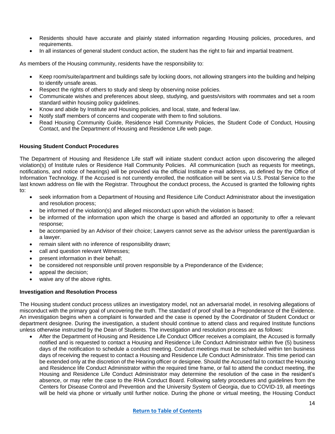- Residents should have accurate and plainly stated information regarding Housing policies, procedures, and requirements.
- In all instances of general student conduct action, the student has the right to fair and impartial treatment.

As members of the Housing community, residents have the responsibility to:

- Keep room/suite/apartment and buildings safe by locking doors, not allowing strangers into the building and helping to identify unsafe areas.
- Respect the rights of others to study and sleep by observing noise policies.
- Communicate wishes and preferences about sleep, studying, and guests/visitors with roommates and set a room standard within housing policy guidelines.
- Know and abide by Institute and Housing policies, and local, state, and federal law.
- Notify staff members of concerns and cooperate with them to find solutions.
- Read Housing Community Guide, Residence Hall Community Policies, the Student Code of Conduct, Housing Contact, and the Department of Housing and Residence Life web page.

#### **Housing Student Conduct Procedures**

The Department of Housing and Residence Life staff will initiate student conduct action upon discovering the alleged violation(s) of Institute rules or Residence Hall Community Policies. All communication (such as requests for meetings, notifications, and notice of hearings) will be provided via the official Institute e-mail address, as defined by the Office of Information Technology. If the Accused is not currently enrolled, the notification will be sent via U.S. Postal Service to the last known address on file with the Registrar. Throughout the conduct process, the Accused is granted the following rights to:

- seek information from a Department of Housing and Residence Life Conduct Administrator about the investigation and resolution process;
- be informed of the violation(s) and alleged misconduct upon which the violation is based;
- be informed of the information upon which the charge is based and afforded an opportunity to offer a relevant response;
- be accompanied by an Advisor of their choice; Lawyers cannot serve as the advisor unless the parent/guardian is a lawyer.
- remain silent with no inference of responsibility drawn;
- call and question relevant Witnesses;
- present information in their behalf;
- be considered not responsible until proven responsible by a Preponderance of the Evidence;
- appeal the decision;
- waive any of the above rights.

#### **Investigation and Resolution Process**

The Housing student conduct process utilizes an investigatory model, not an adversarial model, in resolving allegations of misconduct with the primary goal of uncovering the truth. The standard of proof shall be a Preponderance of the Evidence. An investigation begins when a complaint is forwarded and the case is opened by the Coordinator of Student Conduct or department designee. During the investigation, a student should continue to attend class and required Institute functions unless otherwise instructed by the Dean of Students. The investigation and resolution process are as follows:

• After the Department of Housing and Residence Life Conduct Officer receives a complaint, the Accused is formally notified and is requested to contact a Housing and Residence Life Conduct Administrator within five (5) business days of the notification to schedule a conduct meeting. Conduct meetings must be scheduled within ten business days of receiving the request to contact a Housing and Residence Life Conduct Administrator. This time period can be extended only at the discretion of the Hearing officer or designee. Should the Accused fail to contact the Housing and Residence life Conduct Administrator within the required time frame, or fail to attend the conduct meeting, the Housing and Residence Life Conduct Administrator may determine the resolution of the case in the resident's absence, or may refer the case to the RHA Conduct Board. Following safety procedures and guidelines from the Centers for Disease Control and Prevention and the University System of Georgia, due to COVID-19, all meetings will be held via phone or virtually until further notice. During the phone or virtual meeting, the Housing Conduct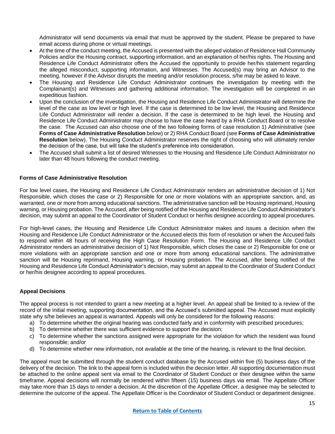Administrator will send documents via email that must be approved by the student. Please be prepared to have email access during phone or virtual meetings.

- At the time of the conduct meeting, the Accused is presented with the alleged violation of Residence Hall Community Policies and/or the Housing contract, supporting information, and an explanation of her/his rights. The Housing and Residence Life Conduct Administrator offers the Accused the opportunity to provide her/his statement regarding the alleged misconduct, supporting information, and Witnesses. The Accused(s) may bring an Advisor to the meeting, however if the Advisor disrupts the meeting and/or resolution process, s/he may be asked to leave.
- The Housing and Residence Life Conduct Administrator continues the investigation by meeting with the Complainant(s) and Witnesses and gathering additional information. The investigation will be completed in an expeditious fashion.
- Upon the conclusion of the investigation, the Housing and Residence Life Conduct Administrator will determine the level of the case as low level or high level. If the case is determined to be low level, the Housing and Residence Life Conduct Administrator will render a decision. If the case is determined to be high level, the Housing and Residence Life Conduct Administrator may choose to have the case heard by a RHA Conduct Board or to resolve the case. The Accused can also choose one of the two following forms of case resolution 1) Administrative (see **Forms of Case Administrative Resolution** below) or 2) RHA Conduct Board (see **Forms of Case Administrative Resolution** below). The Housing Conduct Administrator reserves the right of choosing who will ultimately render the decision of the case, but will take the student's preference into consideration.
- The Accused shall submit a list of desired Witnesses to the Housing and Residence Life Conduct Administrator no later than 48 hours following the conduct meeting.

#### **Forms of Case Administrative Resolution**

For low level cases, the Housing and Residence Life Conduct Administrator renders an administrative decision of 1) Not Responsible, which closes the case or 2) Responsible for one or more violations with an appropriate sanction, and, as warranted, one or more from among educational sanctions. The administrative sanction will be Housing reprimand, Housing warning, or Housing probation. The Accused, after being notified of the Housing and Residence Life Conduct Administrator's decision, may submit an appeal to the Coordinator of Student Conduct or her/his designee according to appeal procedures.

For high-level cases, the Housing and Residence Life Conduct Administrator makes and issues a decision when the Housing and Residence Life Conduct Administrator or the Accused elects this form of resolution or when the Accused fails to respond within 48 hours of receiving the High Case Resolution Form. The Housing and Residence Life Conduct Administrator renders an administrative decision of 1) Not Responsible, which closes the case or 2) Responsible for one or more violations with an appropriate sanction and one or more from among educational sanctions. The administrative sanction will be Housing reprimand, Housing warning, or Housing probation. The Accused, after being notified of the Housing and Residence Life Conduct Administrator's decision, may submit an appeal to the Coordinator of Student Conduct or her/his designee according to appeal procedures.

#### **Appeal Decisions**

The appeal process is not intended to grant a new meeting at a higher level. An appeal shall be limited to a review of the record of the initial meeting, supporting documentation, and the Accused's submitted appeal. The Accused must explicitly state why s/he believes an appeal is warranted. Appeals will only be considered for the following reasons:

- a) To determine whether the original hearing was conducted fairly and in conformity with prescribed procedures;
- b) To determine whether there was sufficient evidence to support the decision;
- c) To determine whether the sanctions assigned were appropriate for the violation for which the resident was found responsible; and/or
- d) To determine whether new information, not available at the time of the hearing, is relevant to the final decision.

The appeal must be submitted through the student conduct database by the Accused within five (5) business days of the delivery of the decision. The link to the appeal form is included within the decision letter. All supporting documentation must be attached to the online appeal sent via email to the Coordinator of Student Conduct or their designee within the same timeframe. Appeal decisions will normally be rendered within fifteen (15) business days via email. The Appellate Officer may take more than 15 days to render a decision. At the discretion of the Appellate Officer, a designee may be selected to determine the outcome of the appeal. The Appellate Officer is the Coordinator of Student Conduct or department designee.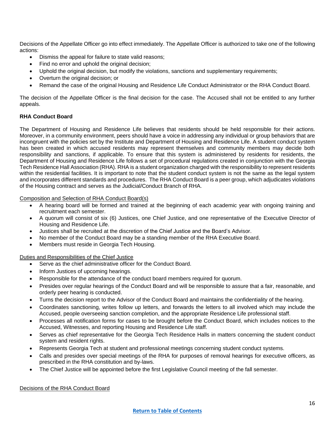Decisions of the Appellate Officer go into effect immediately. The Appellate Officer is authorized to take one of the following actions:

- Dismiss the appeal for failure to state valid reasons;
- Find no error and uphold the original decision;
- Uphold the original decision, but modify the violations, sanctions and supplementary requirements;
- Overturn the original decision; or
- Remand the case of the original Housing and Residence Life Conduct Administrator or the RHA Conduct Board.

The decision of the Appellate Officer is the final decision for the case. The Accused shall not be entitled to any further appeals.

#### **RHA Conduct Board**

The Department of Housing and Residence Life believes that residents should be held responsible for their actions. Moreover, in a community environment, peers should have a voice in addressing any individual or group behaviors that are incongruent with the policies set by the Institute and Department of Housing and Residence Life. A student conduct system has been created in which accused residents may represent themselves and community members may decide both responsibility and sanctions, if applicable. To ensure that this system is administered by residents for residents, the Department of Housing and Residence Life follows a set of procedural regulations created in conjunction with the Georgia Tech Residence Hall Association (RHA). RHA is a student organization charged with the responsibility to represent residents within the residential facilities. It is important to note that the student conduct system is not the same as the legal system and incorporates different standards and procedures. The RHA Conduct Board is a peer group, which adjudicates violations of the Housing contract and serves as the Judicial/Conduct Branch of RHA.

Composition and Selection of RHA Conduct Board(s)

- A hearing board will be formed and trained at the beginning of each academic year with ongoing training and recruitment each semester.
- A quorum will consist of six (6) Justices, one Chief Justice, and one representative of the Executive Director of Housing and Residence Life.
- Justices shall be recruited at the discretion of the Chief Justice and the Board's Advisor.
- No member of the Conduct Board may be a standing member of the RHA Executive Board.
- Members must reside in Georgia Tech Housing.

#### Duties and Responsibilities of the Chief Justice

- Serve as the chief administrative officer for the Conduct Board.
- Inform Justices of upcoming hearings.
- Responsible for the attendance of the conduct board members required for quorum.
- Presides over regular hearings of the Conduct Board and will be responsible to assure that a fair, reasonable, and orderly peer hearing is conducted.
- Turns the decision report to the Advisor of the Conduct Board and maintains the confidentiality of the hearing.
- Coordinates sanctioning, writes follow up letters, and forwards the letters to all involved which may include the Accused, people overseeing sanction completion, and the appropriate Residence Life professional staff.
- Processes all notification forms for cases to be brought before the Conduct Board, which includes notices to the Accused, Witnesses, and reporting Housing and Residence Life staff.
- Serves as chief representative for the Georgia Tech Residence Halls in matters concerning the student conduct system and resident rights.
- Represents Georgia Tech at student and professional meetings concerning student conduct systems.
- Calls and presides over special meetings of the RHA for purposes of removal hearings for executive officers, as prescribed in the RHA constitution and by-laws.
- The Chief Justice will be appointed before the first Legislative Council meeting of the fall semester.

Decisions of the RHA Conduct Board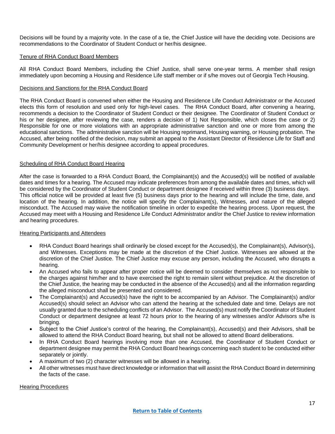Decisions will be found by a majority vote. In the case of a tie, the Chief Justice will have the deciding vote. Decisions are recommendations to the Coordinator of Student Conduct or her/his designee.

#### Tenure of RHA Conduct Board Members

All RHA Conduct Board Members, including the Chief Justice, shall serve one-year terms. A member shall resign immediately upon becoming a Housing and Residence Life staff member or if s/he moves out of Georgia Tech Housing.

#### Decisions and Sanctions for the RHA Conduct Board

The RHA Conduct Board is convened when either the Housing and Residence Life Conduct Administrator or the Accused elects this form of resolution and used only for high-level cases. The RHA Conduct Board, after convening a hearing, recommends a decision to the Coordinator of Student Conduct or their designee. The Coordinator of Student Conduct or his or her designee, after reviewing the case, renders a decision of 1) Not Responsible, which closes the case or 2) Responsible for one or more violations with an appropriate administrative sanction and one or more from among the educational sanctions. The administrative sanction will be Housing reprimand, Housing warning, or Housing probation. The Accused, after being notified of the decision, may submit an appeal to the Assistant Director of Residence Life for Staff and Community Development or her/his designee according to appeal procedures.

#### Scheduling of RHA Conduct Board Hearing

After the case is forwarded to a RHA Conduct Board, the Complainant(s) and the Accused(s) will be notified of available dates and times for a hearing. The Accused may indicate preferences from among the available dates and times, which will be considered by the Coordinator of Student Conduct or department designee if received within three (3) business days. This official notice will be provided at least five (5) business days prior to the hearing and will include the time, date, and location of the hearing. In addition, the notice will specify the Complainant(s), Witnesses, and nature of the alleged misconduct. The Accused may waive the notification timeline in order to expedite the hearing process. Upon request, the Accused may meet with a Housing and Residence Life Conduct Administrator and/or the Chief Justice to review information and hearing procedures.

#### Hearing Participants and Attendees

- RHA Conduct Board hearings shall ordinarily be closed except for the Accused(s), the Complainant(s), Advisor(s), and Witnesses. Exceptions may be made at the discretion of the Chief Justice. Witnesses are allowed at the discretion of the Chief Justice. The Chief Justice may excuse any person, including the Accused, who disrupts a hearing.
- An Accused who fails to appear after proper notice will be deemed to consider themselves as not responsible to the charges against him/her and to have exercised the right to remain silent without prejudice. At the discretion of the Chief Justice, the hearing may be conducted in the absence of the Accused(s) and all the information regarding the alleged misconduct shall be presented and considered.
- The Complainant(s) and Accused(s) have the right to be accompanied by an Advisor. The Complainant(s) and/or Accused(s) should select an Advisor who can attend the hearing at the scheduled date and time. Delays are not usually granted due to the scheduling conflicts of an Advisor. The Accused(s) must notify the Coordinator of Student Conduct or department designee at least 72 hours prior to the hearing of any witnesses and/or Advisors s/he is bringing.
- Subject to the Chief Justice's control of the hearing, the Complainant(s), Accused(s) and their Advisors, shall be allowed to attend the RHA Conduct Board hearing, but shall not be allowed to attend Board deliberations.
- In RHA Conduct Board hearings involving more than one Accused, the Coordinator of Student Conduct or department designee may permit the RHA Conduct Board hearings concerning each student to be conducted either separately or jointly.
- A maximum of two (2) character witnesses will be allowed in a hearing.
- All other witnesses must have direct knowledge or information that will assist the RHA Conduct Board in determining the facts of the case.

#### Hearing Procedures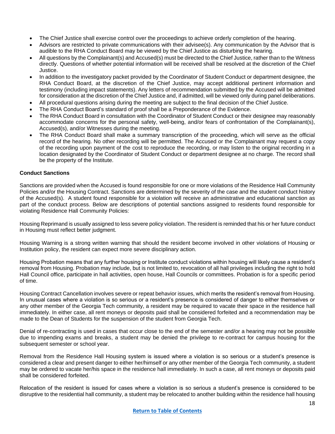- The Chief Justice shall exercise control over the proceedings to achieve orderly completion of the hearing.
- Advisors are restricted to private communications with their advisee(s). Any communication by the Advisor that is audible to the RHA Conduct Board may be viewed by the Chief Justice as disturbing the hearing.
- All questions by the Complainant(s) and Accused(s) must be directed to the Chief Justice, rather than to the Witness directly. Questions of whether potential information will be received shall be resolved at the discretion of the Chief Justice.
- In addition to the investigatory packet provided by the Coordinator of Student Conduct or department designee, the RHA Conduct Board, at the discretion of the Chief Justice, may accept additional pertinent information and testimony (including impact statements). Any letters of recommendation submitted by the Accused will be admitted for consideration at the discretion of the Chief Justice and, if admitted, will be viewed only during panel deliberations.
- All procedural questions arising during the meeting are subject to the final decision of the Chief Justice.
- The RHA Conduct Board's standard of proof shall be a Preponderance of the Evidence.
- The RHA Conduct Board in consultation with the Coordinator of Student Conduct or their designee may reasonably accommodate concerns for the personal safety, well-being, and/or fears of confrontation of the Complainant(s), Accused(s), and/or Witnesses during the meeting.
- The RHA Conduct Board shall make a summary transcription of the proceeding, which will serve as the official record of the hearing. No other recording will be permitted. The Accused or the Complainant may request a copy of the recording upon payment of the cost to reproduce the recording, or may listen to the original recording in a location designated by the Coordinator of Student Conduct or department designee at no charge. The record shall be the property of the Institute.

#### **Conduct Sanctions**

Sanctions are provided when the Accused is found responsible for one or more violations of the Residence Hall Community Policies and/or the Housing Contract. Sanctions are determined by the severity of the case and the student conduct history of the Accused(s). A student found responsible for a violation will receive an administrative and educational sanction as part of the conduct process. Below are descriptions of potential sanctions assigned to residents found responsible for violating Residence Hall Community Policies:

Housing Reprimand is usually assigned to less severe policy violation. The resident is reminded that his or her future conduct in Housing must reflect better judgment.

Housing Warning is a strong written warning that should the resident become involved in other violations of Housing or Institution policy, the resident can expect more severe disciplinary action.

Housing Probation means that any further housing or Institute conduct violations within housing will likely cause a resident's removal from Housing. Probation may include, but is not limited to, revocation of all hall privileges including the right to hold Hall Council office, participate in hall activities, open house, Hall Councils or committees. Probation is for a specific period of time.

Housing Contract Cancellation involves severe or repeat behavior issues, which merits the resident's removal from Housing. In unusual cases where a violation is so serious or a resident's presence is considered of danger to either themselves or any other member of the Georgia Tech community, a resident may be required to vacate their space in the residence hall immediately. In either case, all rent moneys or deposits paid shall be considered forfeited and a recommendation may be made to the Dean of Students for the suspension of the student from Georgia Tech.

Denial of re-contracting is used in cases that occur close to the end of the semester and/or a hearing may not be possible due to impending exams and breaks, a student may be denied the privilege to re-contract for campus housing for the subsequent semester or school year.

Removal from the Residence Hall Housing system is issued where a violation is so serious or a student's presence is considered a clear and present danger to either her/himself or any other member of the Georgia Tech community, a student may be ordered to vacate her/his space in the residence hall immediately. In such a case, all rent moneys or deposits paid shall be considered forfeited.

Relocation of the resident is issued for cases where a violation is so serious a student's presence is considered to be disruptive to the residential hall community, a student may be relocated to another building within the residence hall housing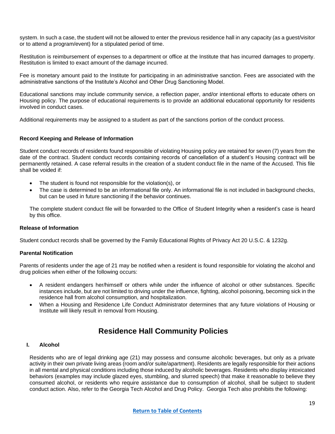system. In such a case, the student will not be allowed to enter the previous residence hall in any capacity (as a guest/visitor or to attend a program/event) for a stipulated period of time.

Restitution is reimbursement of expenses to a department or office at the Institute that has incurred damages to property. Restitution is limited to exact amount of the damage incurred.

Fee is monetary amount paid to the Institute for participating in an administrative sanction. Fees are associated with the administrative sanctions of the Institute's Alcohol and Other Drug Sanctioning Model.

Educational sanctions may include community service, a reflection paper, and/or intentional efforts to educate others on Housing policy. The purpose of educational requirements is to provide an additional educational opportunity for residents involved in conduct cases.

Additional requirements may be assigned to a student as part of the sanctions portion of the conduct process.

#### **Record Keeping and Release of Information**

Student conduct records of residents found responsible of violating Housing policy are retained for seven (7) years from the date of the contract. Student conduct records containing records of cancellation of a student's Housing contract will be permanently retained. A case referral results in the creation of a student conduct file in the name of the Accused. This file shall be voided if:

- The student is found not responsible for the violation(s), or
- The case is determined to be an informational file only. An informational file is not included in background checks, but can be used in future sanctioning if the behavior continues.

The complete student conduct file will be forwarded to the Office of Student Integrity when a resident's case is heard by this office.

#### **Release of Information**

Student conduct records shall be governed by the Family Educational Rights of Privacy Act 20 U.S.C. & 1232g.

#### **Parental Notification**

Parents of residents under the age of 21 may be notified when a resident is found responsible for violating the alcohol and drug policies when either of the following occurs:

- A resident endangers her/himself or others while under the influence of alcohol or other substances. Specific instances include, but are not limited to driving under the influence, fighting, alcohol poisoning, becoming sick in the residence hall from alcohol consumption, and hospitalization.
- When a Housing and Residence Life Conduct Administrator determines that any future violations of Housing or Institute will likely result in removal from Housing.

## <span id="page-18-0"></span>**Residence Hall Community Policies**

#### **I. Alcohol**

Residents who are of legal drinking age (21) may possess and consume alcoholic beverages, but only as a private activity in their own private living areas (room and/or suite/apartment). Residents are legally responsible for their actions in all mental and physical conditions including those induced by alcoholic beverages. Residents who display intoxicated behaviors (examples may include glazed eyes, stumbling, and slurred speech) that make it reasonable to believe they consumed alcohol, or residents who require assistance due to consumption of alcohol, shall be subject to student conduct action. Also, refer to the Georgia Tech Alcohol and Drug Policy. Georgia Tech also prohibits the following: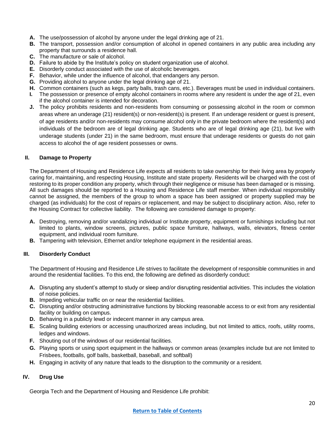- **A.** The use/possession of alcohol by anyone under the legal drinking age of 21.
- **B.** The transport, possession and/or consumption of alcohol in opened containers in any public area including any property that surrounds a residence hall.
- **C.** The manufacture or sale of alcohol.
- **D.** Failure to abide by the Institute's policy on student organization use of alcohol.
- **E.** Disorderly conduct associated with the use of alcoholic beverages.
- **F.** Behavior, while under the influence of alcohol, that endangers any person.
- **G.** Providing alcohol to anyone under the legal drinking age of 21.
- **H.** Common containers (such as kegs, party balls, trash cans, etc.). Beverages must be used in individual containers.
- **I.** The possession or presence of empty alcohol containers in rooms where any resident is under the age of 21, even if the alcohol container is intended for decoration.
- **J.** The policy prohibits residents and non-residents from consuming or possessing alcohol in the room or common areas where an underage (21) resident(s) or non-resident(s) is present. If an underage resident or guest is present, of age residents and/or non-residents may consume alcohol only in the private bedroom where the resident(s) and individuals of the bedroom are of legal drinking age. Students who are of legal drinking age (21), but live with underage students (under 21) in the same bedroom, must ensure that underage residents or guests do not gain access to alcohol the of age resident possesses or owns.

#### **II. Damage to Property**

The Department of Housing and Residence Life expects all residents to take ownership for their living area by properly caring for, maintaining, and respecting Housing, Institute and state property. Residents will be charged with the cost of restoring to its proper condition any property, which through their negligence or misuse has been damaged or is missing. All such damages should be reported to a Housing and Residence Life staff member. When individual responsibility cannot be assigned, the members of the group to whom a space has been assigned or property supplied may be charged (as individuals) for the cost of repairs or replacement, and may be subject to disciplinary action. Also, refer to the Housing Contract for collective liability. The following are considered damage to property:

- **A.** Destroying, removing and/or vandalizing individual or Institute property, equipment or furnishings including but not limited to plants, window screens, pictures, public space furniture, hallways, walls, elevators, fitness center equipment, and individual room furniture.
- **B.** Tampering with television, Ethernet and/or telephone equipment in the residential areas.

#### **III. Disorderly Conduct**

The Department of Housing and Residence Life strives to facilitate the development of responsible communities in and around the residential facilities. To this end, the following are defined as disorderly conduct:

- **A.** Disrupting any student's attempt to study or sleep and/or disrupting residential activities. This includes the violation of noise policies.
- **B.** Impeding vehicular traffic on or near the residential facilities.
- **C.** Disrupting and/or obstructing administrative functions by blocking reasonable access to or exit from any residential facility or building on campus.
- **D.** Behaving in a publicly lewd or indecent manner in any campus area.
- **E.** Scaling building exteriors or accessing unauthorized areas including, but not limited to attics, roofs, utility rooms, ledges and windows.
- **F.** Shouting out of the windows of our residential facilities.
- **G.** Playing sports or using sport equipment in the hallways or common areas (examples include but are not limited to Frisbees, footballs, golf balls, basketball, baseball, and softball)
- **H.** Engaging in activity of any nature that leads to the disruption to the community or a resident.

#### **IV. Drug Use**

Georgia Tech and the Department of Housing and Residence Life prohibit: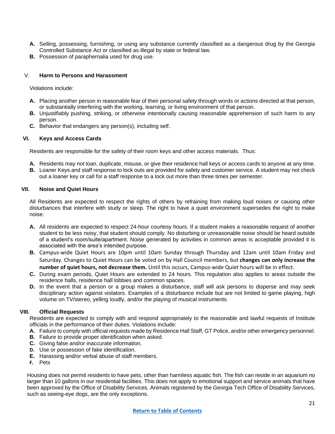- **A.** Selling, possessing, furnishing, or using any substance currently classified as a dangerous drug by the Georgia Controlled Substance Act or classified as illegal by state or federal law.
- **B.** Possession of paraphernalia used for drug use.

#### V. **Harm to Persons and Harassment**

Violations include:

- **A.** Placing another person in reasonable fear of their personal safety through words or actions directed at that person, or substantially interfering with the working, learning, or living environment of that person.
- **B.** Unjustifiably pushing, striking, or otherwise intentionally causing reasonable apprehension of such harm to any person.
- **C.** Behavior that endangers any person(s), including self.

#### **VI. Keys and Access Cards**

Residents are responsible for the safety of their room keys and other access materials. Thus:

- **A.** Residents may not loan, duplicate, misuse, or give their residence hall keys or access cards to anyone at any time.
- **B.** Loaner Keys and staff response to lock outs are provided for safety and customer service. A student may not check out a loaner key or call for a staff response to a lock out more than three times per semester.

#### **VII. Noise and Quiet Hours**

All Residents are expected to respect the rights of others by refraining from making loud noises or causing other disturbances that interfere with study or sleep. The right to have a quiet environment supersedes the right to make noise.

- **A.** All residents are expected to respect 24-hour courtesy hours. If a student makes a reasonable request of another student to be less noisy, that student should comply. No disturbing or unreasonable noise should be heard outside of a student's room/suite/apartment. Noise generated by activities in common areas is acceptable provided it is associated with the area's intended purpose.
- **B.** Campus-wide Quiet Hours are 10pm until 10am Sunday through Thursday and 12am until 10am Friday and Saturday. Changes to Quiet Hours can be voted on by Hall Council members, but **changes can only increase the number of quiet hours, not decrease them.** Until this occurs, Campus-wide Quiet hours will be in effect.
- **C.** During exam periods, Quiet Hours are extended to 24 hours. This regulation also applies to areas outside the residence halls, residence hall lobbies and common spaces.
- **D.** In the event that a person or a group makes a disturbance, staff will ask persons to disperse and may seek disciplinary action against violators. Examples of a disturbance include but are not limited to game playing, high volume on TV/stereo, yelling loudly, and/or the playing of musical instruments.

#### **VIII. Official Requests**

Residents are expected to comply with and respond appropriately to the reasonable and lawful requests of Institute officials in the performance of their duties. Violations include:

- **A.** Failure to comply with official requests made by Residence Hall Staff, GT Police, and/or other emergency personnel.
- **B.** Failure to provide proper identification when asked.
- **C.** Giving false and/or inaccurate information.
- **D.** Use or possession of fake identification.
- **E.** Harassing and/or verbal abuse of staff members.
- **F.** Pets

Housing does not permit residents to have pets, other than harmless aquatic fish. The fish can reside in an aquarium no larger than 10 gallons in our residential facilities. This does not apply to emotional support and service animals that have been approved by the Office of Disability Services. Animals registered by the Georgia Tech Office of Disability Services, such as seeing-eye dogs, are the only exceptions.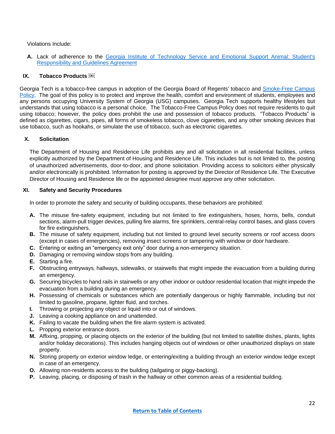Violations Include:

**A.** Lack of adherence to the [Georgia Institute of Technology Service and Emotional Support Animal: Student's](http://housing.gatech.edu/sites/default/files/documents/policies/housing_service_and_emotional_support_animal_students_responsibilities_and_guidelines_agreement_a.pdf)  [Responsibility and Guidelines Agreement](http://housing.gatech.edu/sites/default/files/documents/policies/housing_service_and_emotional_support_animal_students_responsibilities_and_guidelines_agreement_a.pdf)

#### **IX. Tobacco Products**

Georgia Tech is a tobacco-free campus in adoption of the Georgia Board of Regents' tobacco and [Smoke-Free Campus](https://www.usg.edu/policymanual/section6/C2663)  [Policy.](https://www.usg.edu/policymanual/section6/C2663) The goal of this policy is to protect and improve the health, comfort and environment of students, employees and any persons occupying University System of Georgia (USG) campuses. Georgia Tech supports healthy lifestyles but understands that using tobacco is a personal choice. The Tobacco-Free Campus Policy does not require residents to quit using tobacco; however, the policy does prohibit the use and possession of tobacco products. "Tobacco Products" is defined as cigarettes, cigars, pipes, all forms of smokeless tobacco, clove cigarettes, and any other smoking devices that use tobacco, such as hookahs, or simulate the use of tobacco, such as electronic cigarettes.

#### **X. Solicitation**

The Department of Housing and Residence Life prohibits any and all solicitation in all residential facilities, unless explicitly authorized by the Department of Housing and Residence Life. This includes but is not limited to, the posting of unauthorized advertisements, door-to-door, and phone solicitation. Providing access to solicitors either physically and/or electronically is prohibited. Information for posting is approved by the Director of Residence Life. The Executive Director of Housing and Residence life or the appointed designee must approve any other solicitation.

#### **XI. Safety and Security Procedures**

In order to promote the safety and security of building occupants, these behaviors are prohibited:

- **A.** The misuse fire-safety equipment, including but not limited to fire extinguishers, hoses, horns, bells, conduit sections, alarm-pull trigger devices, pulling fire alarms, fire sprinklers, central-relay control bases, and glass covers for fire extinguishers.
- **B.** The misuse of safety equipment, including but not limited to ground level security screens or roof access doors (except in cases of emergencies), removing insect screens or tampering with window or door hardware.
- **C.** Entering or exiting an "emergency exit only" door during a non-emergency situation.
- **D.** Damaging or removing window stops from any building.
- **E.** Starting a fire.
- **F.** Obstructing entryways, hallways, sidewalks, or stairwells that might impede the evacuation from a building during an emergency.
- **G.** Securing bicycles to hand rails in stairwells or any other indoor or outdoor residential location that might impede the evacuation from a building during an emergency.
- **H.** Possessing of chemicals or substances which are potentially dangerous or highly flammable, including but not limited to gasoline, propane, lighter fluid, and torches.
- **I.** Throwing or projecting any object or liquid into or out of windows.
- **J.** Leaving a cooking appliance on and unattended.
- **K.** Failing to vacate the building when the fire alarm system is activated.
- **L.** Propping exterior entrance doors.
- **M.** Affixing, propping, or placing objects on the exterior of the building (but not limited to satellite dishes, plants, lights and/or holiday decorations). This includes hanging objects out of windows or other unauthorized displays on state property.
- **N.** Storing property on exterior window ledge, or entering/exiting a building through an exterior window ledge except in case of an emergency.
- **O.** Allowing non-residents access to the building (tailgating or piggy-backing).
- **P.** Leaving, placing, or disposing of trash in the hallway or other common areas of a residential building.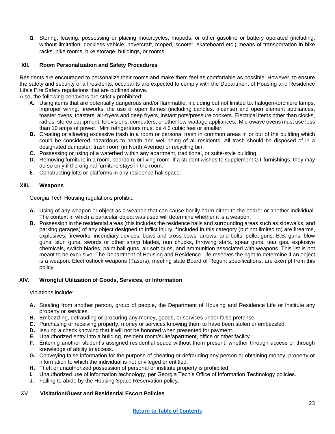**Q.** Storing, leaving, possessing or placing motorcycles, mopeds, or other gasoline or battery operated (including, without limitation, dockless vehicle, hovercraft, moped, scooter, skateboard etc.) means of transportation in bike racks, bike rooms, bike storage, buildings, or rooms.

#### **XII. Room Personalization and Safety Procedures**

Residents are encouraged to personalize their rooms and make them feel as comfortable as possible. However, to ensure the safety and security of all residents, occupants are expected to comply with the Department of Housing and Residence Life's Fire Safety regulations that are outlined above.

Also, the following behaviors are strictly prohibited:

- **A.** Using items that are potentially dangerous and/or flammable, including but not limited to: halogen-torchiere lamps, improper wiring, fireworks, the use of open flames (including candles, incense) and open element appliances, toaster ovens, toasters, air-fryers and deep fryers, instant pots/pressure cookers. Electrical items other than clocks, radios, stereo equipment, televisions, computers, or other low-wattage appliances. Microwave ovens must use less than 10 amps of power. Mini refrigerators must be 4.5 cubic feet or smaller.
- **B.** Creating or allowing excessive trash in a room or personal trash in common areas in or out of the building which could be considered hazardous to health and well-being of all residents. All trash should be disposed of in a designated dumpster, trash room (in North Avenue) or recycling bin.
- **C.** Possessing or using of a waterbed within any apartment, traditional, or suite-style building.
- **D.** Removing furniture in a room, bedroom, or living room. If a student wishes to supplement GT furnishings, they may do so only if the original furniture stays in the room.
- **E.** Constructing lofts or platforms in any residence hall space.

#### **XIII. Weapons**

Georgia Tech Housing regulations prohibit:

- **A.** Using of any weapon or object as a weapon that can cause bodily harm either to the bearer or another individual. The context in which a particular object was used will determine whether it is a weapon.
- **B.** Possession in the residential areas (this includes the residence halls and surrounding areas such as sidewalks, and parking garages) of any object designed to inflict injury. **\***Included in this category (but not limited to) are firearms, explosives, fireworks, incendiary devices, bows and cross bows, arrows, and bolts, pellet guns, B.B. guns, blow guns, stun guns, swords or other sharp blades, nun chucks, throwing stars, spear guns, tear gas, explosive chemicals, switch blades, paint ball guns, air soft guns, and ammunition associated with weapons. This list is not meant to be exclusive. The Department of Housing and Residence Life reserves the right to determine if an object is a weapon. Electroshock weapons (Tasers), meeting state Board of Regent specifications, are exempt from this policy.

#### **XIV. Wrongful Utilization of Goods, Services, or Information**

#### Violations include:

- **A.** Stealing from another person, group of people, the Department of Housing and Residence Life or Institute any property or services.
- **B.** Embezzling, defrauding or procuring any money, goods, or services under false pretense.
- **C.** Purchasing or receiving property, money or services knowing them to have been stolen or embezzled.
- **D.** Issuing a check knowing that it will not be honored when presented for payment.
- **E.** Unauthorized entry into a building, resident room/suite/apartment, office or other facility.
- **F.** Entering another student's assigned residential space without them present, whether through access or through knowledge of ability to access.
- **G.** Conveying false information for the purpose of cheating or defrauding any person or obtaining money, property or information to which the individual is not privileged or entitled.
- **H.** Theft or unauthorized possession of personal or institute property is prohibited.
- **I.** Unauthorized use of information technology, per Georgia Tech's Office of Information Technology policies.
- **J.** Failing to abide by the Housing Space Reservation policy.

#### XV. **Visitation/Guest and Residential Escort Policies**